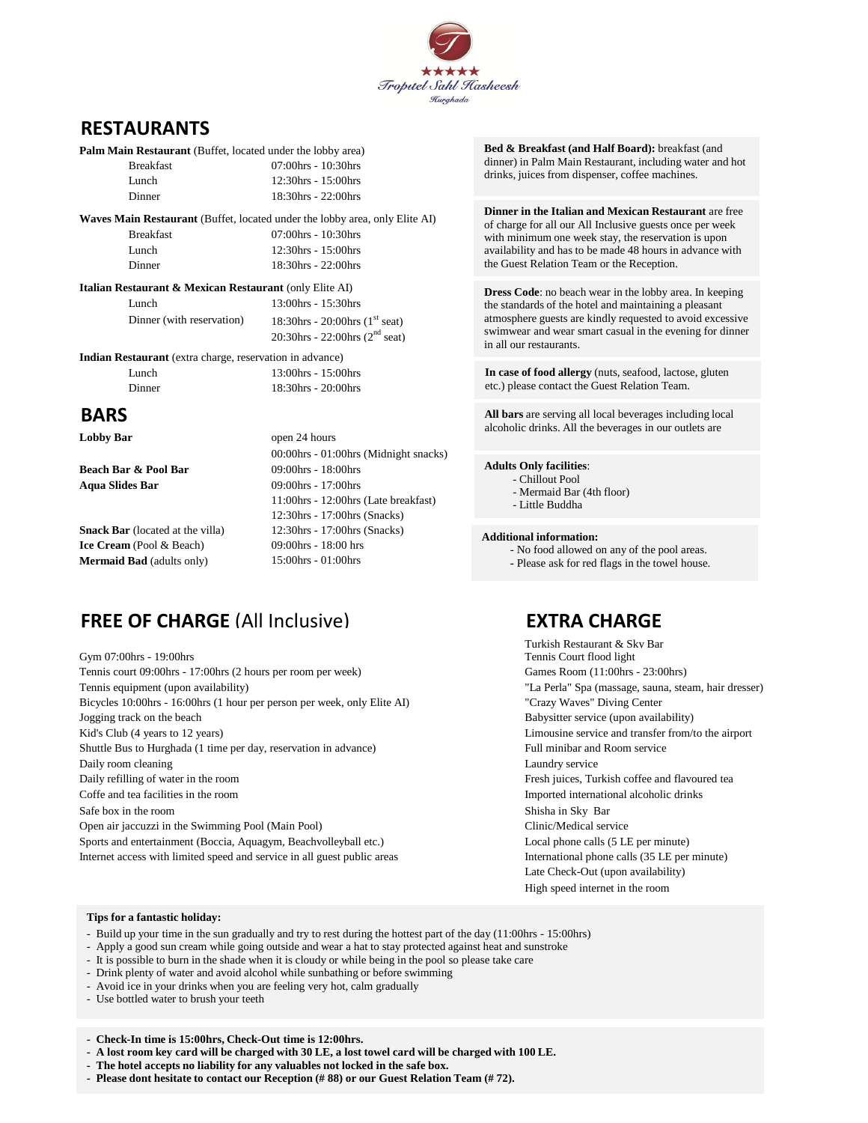

## **RESTAURANTS**

| <b>Palm Main Restaurant</b> (Buffet, located under the lobby area) |                                                                                    |
|--------------------------------------------------------------------|------------------------------------------------------------------------------------|
| <b>Breakfast</b>                                                   | 07:00hrs - 10:30hrs                                                                |
| Lunch                                                              | 12:30hrs - 15:00hrs                                                                |
| Dinner                                                             | 18:30hrs - 22:00hrs                                                                |
|                                                                    | <b>Waves Main Restaurant</b> (Buffet, located under the lobby area, only Elite AI) |
| <b>Breakfast</b>                                                   | 07:00hrs - 10:30hrs                                                                |

Lunch 12:30hrs - 15:00hrs Dinner 18:30hrs - 22:00hrs

### **Italian Restaurant & Mexican Restaurant** (only Elite AI)

| Lunch                     | $13:00$ hrs - $15:30$ hrs         |
|---------------------------|-----------------------------------|
| Dinner (with reservation) | 18:30hrs - 20:00hrs $(1st seat)$  |
|                           | 20:30hrs - 22:00hrs ( $2nd$ seat) |

**Indian Restaurant** (extra charge, reservation in advance)

| Lunch  |  |  | $13:00$ hrs - $15:00$ hrs |
|--------|--|--|---------------------------|
| Dinner |  |  | $18:30$ hrs - $20:00$ hrs |

## **BARS**

**Lobby Bar** open 24 hours

**Beach Bar & Pool Bar** 09:00hrs - 18:00hrs **Aqua Slides Bar** 09:00hrs - 17:00hrs

**Snack Bar** (located at the villa) 12:30hrs - 17:00hrs (Snacks)<br> **ICE Cream** (Pool & Beach) 09:00hrs - 18:00 hrs **Ice Cream** (Pool & Beach) **Mermaid Bad** (adults only) 15:00hrs - 01:00hrs

00:00hrs - 01:00hrs (Midnight snacks) 11:00hrs - 12:00hrs (Late breakfast) 12:30hrs - 17:00hrs (Snacks)

# **FREE OF CHARGE** (All Inclusive) **EXTRA CHARGE**

Gym 07:00hrs - 19:00hrs Tennis court 09:00hrs - 17:00hrs (2 hours per room per week) Games Room (11:00hrs - 23:00hrs) Tennis equipment (upon availability) "La Perla" Spa (massage, sauna, steam, hair dresser) Bicycles 10:00hrs - 16:00hrs (1 hour per person per week, only Elite AI) "Crazy Waves" Diving Center Jogging track on the beach Babysitter service (upon availability) Kid's Club (4 years to 12 years) Limousine service and transfer from/to the airport Shuttle Bus to Hurghada (1 time per day, reservation in advance) Full minibar and Room service Daily room cleaning Laundry service Laundry service Daily refilling of water in the room **Fresh** juices, Turkish coffee and flavoured tea Coffe and tea facilities in the room Imported international alcoholic drinks Safe box in the room Shisha in Sky Bar Open air jaccuzzi in the Swimming Pool (Main Pool) Clinic/Medical service Sports and entertainment (Boccia, Aquagym, Beachvolleyball etc.) Local phone calls (5 LE per minute) Internet access with limited speed and service in all guest public areas International phone calls (35 LE per minute)

**Bed & Breakfast (and Half Board):** breakfast (and dinner) in Palm Main Restaurant, including water and hot drinks, juices from dispenser, coffee machines.

**Dinner in the Italian and Mexican Restaurant** are free of charge for all our All Inclusive guests once per week with minimum one week stay, the reservation is upon availability and has to be made 48 hours in advance with the Guest Relation Team or the Reception.

**Dress Code**: no beach wear in the lobby area. In keeping the standards of the hotel and maintaining a pleasant atmosphere guests are kindly requested to avoid excessive swimwear and wear smart casual in the evening for dinner in all our restaurants.

**In case of food allergy** (nuts, seafood, lactose, gluten etc.) please contact the Guest Relation Team.

**All bars** are serving all local beverages including local alcoholic drinks. All the beverages in our outlets are

#### **Adults Only facilities**:

- Chillout Pool
- Mermaid Bar (4th floor)
- Little Buddha

#### **Additional information:**

- No food allowed on any of the pool areas.
- **-** Please ask for red flags in the towel house.

Turkish Restaurant & Sky Bar Late Check-Out (upon availability) High speed internet in the room

#### **Tips for a fantastic holiday:**

- Build up your time in the sun gradually and try to rest during the hottest part of the day (11:00hrs 15:00hrs)
- Apply a good sun cream while going outside and wear a hat to stay protected against heat and sunstroke
- It is possible to burn in the shade when it is cloudy or while being in the pool so please take care
- Drink plenty of water and avoid alcohol while sunbathing or before swimming
- Avoid ice in your drinks when you are feeling very hot, calm gradually
- Use bottled water to brush your teeth

**- Check-In time is 15:00hrs, Check-Out time is 12:00hrs.**

- **A lost room key card will be charged with 30 LE, a lost towel card will be charged with 100 LE.**
- **The hotel accepts no liability for any valuables not locked in the safe box.**

**- Please dont hesitate to contact our Reception (# 88) or our Guest Relation Team (# 72).**